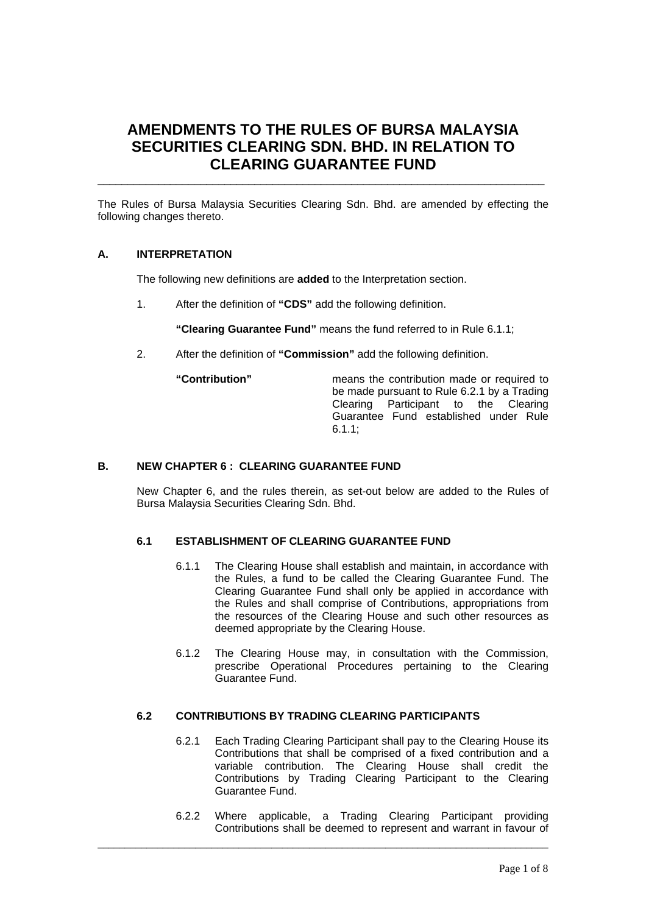# **AMENDMENTS TO THE RULES OF BURSA MALAYSIA SECURITIES CLEARING SDN. BHD. IN RELATION TO CLEARING GUARANTEE FUND**

The Rules of Bursa Malaysia Securities Clearing Sdn. Bhd. are amended by effecting the following changes thereto.

\_\_\_\_\_\_\_\_\_\_\_\_\_\_\_\_\_\_\_\_\_\_\_\_\_\_\_\_\_\_\_\_\_\_\_\_\_\_\_\_\_\_\_\_\_\_\_\_\_\_\_\_\_\_\_\_\_\_\_\_\_\_\_\_\_\_\_\_\_\_\_\_\_\_

# **A. INTERPRETATION**

The following new definitions are **added** to the Interpretation section.

1. After the definition of **"CDS"** add the following definition.

**"Clearing Guarantee Fund"** means the fund referred to in Rule 6.1.1;

2. After the definition of **"Commission"** add the following definition.

**"Contribution"** means the contribution made or required to be made pursuant to Rule 6.2.1 by a Trading Clearing Participant to the Clearing Guarantee Fund established under Rule 6.1.1;

#### **B. NEW CHAPTER 6 : CLEARING GUARANTEE FUND**

New Chapter 6, and the rules therein, as set-out below are added to the Rules of Bursa Malaysia Securities Clearing Sdn. Bhd.

# **6.1 ESTABLISHMENT OF CLEARING GUARANTEE FUND**

- 6.1.1 The Clearing House shall establish and maintain, in accordance with the Rules, a fund to be called the Clearing Guarantee Fund. The Clearing Guarantee Fund shall only be applied in accordance with the Rules and shall comprise of Contributions, appropriations from the resources of the Clearing House and such other resources as deemed appropriate by the Clearing House.
- 6.1.2 The Clearing House may, in consultation with the Commission, prescribe Operational Procedures pertaining to the Clearing Guarantee Fund.

#### **6.2 CONTRIBUTIONS BY TRADING CLEARING PARTICIPANTS**

- 6.2.1 Each Trading Clearing Participant shall pay to the Clearing House its Contributions that shall be comprised of a fixed contribution and a variable contribution. The Clearing House shall credit the Contributions by Trading Clearing Participant to the Clearing Guarantee Fund.
- 6.2.2 Where applicable, a Trading Clearing Participant providing Contributions shall be deemed to represent and warrant in favour of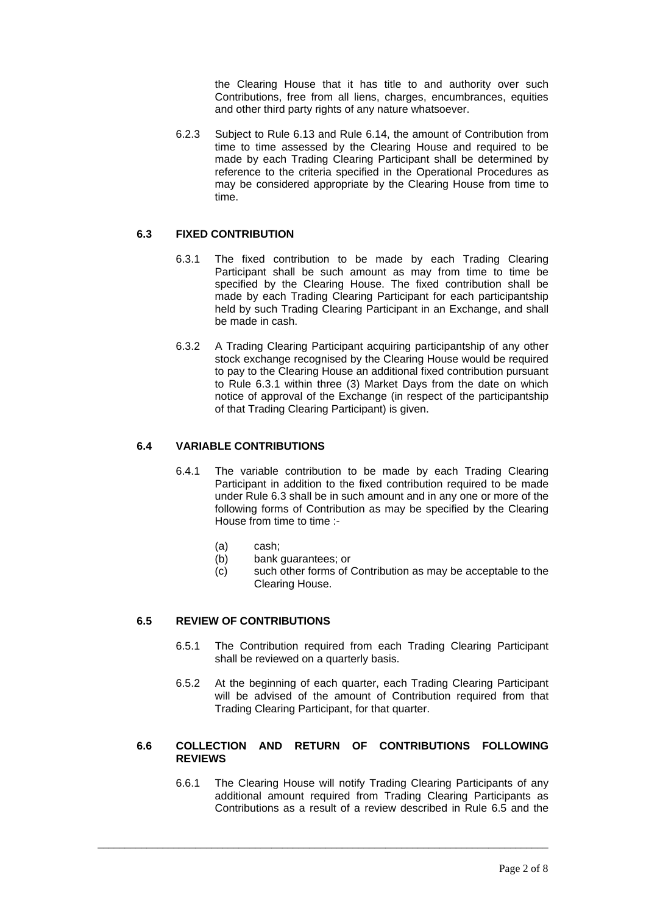the Clearing House that it has title to and authority over such Contributions, free from all liens, charges, encumbrances, equities and other third party rights of any nature whatsoever.

6.2.3 Subject to Rule 6.13 and Rule 6.14, the amount of Contribution from time to time assessed by the Clearing House and required to be made by each Trading Clearing Participant shall be determined by reference to the criteria specified in the Operational Procedures as may be considered appropriate by the Clearing House from time to time.

# **6.3 FIXED CONTRIBUTION**

- 6.3.1 The fixed contribution to be made by each Trading Clearing Participant shall be such amount as may from time to time be specified by the Clearing House. The fixed contribution shall be made by each Trading Clearing Participant for each participantship held by such Trading Clearing Participant in an Exchange, and shall be made in cash.
- 6.3.2 A Trading Clearing Participant acquiring participantship of any other stock exchange recognised by the Clearing House would be required to pay to the Clearing House an additional fixed contribution pursuant to Rule 6.3.1 within three (3) Market Days from the date on which notice of approval of the Exchange (in respect of the participantship of that Trading Clearing Participant) is given.

# **6.4 VARIABLE CONTRIBUTIONS**

- 6.4.1 The variable contribution to be made by each Trading Clearing Participant in addition to the fixed contribution required to be made under Rule 6.3 shall be in such amount and in any one or more of the following forms of Contribution as may be specified by the Clearing House from time to time :-
	- (a) cash;
	- (b) bank guarantees; or
	- (c) such other forms of Contribution as may be acceptable to the Clearing House.

# **6.5 REVIEW OF CONTRIBUTIONS**

- 6.5.1 The Contribution required from each Trading Clearing Participant shall be reviewed on a quarterly basis.
- 6.5.2 At the beginning of each quarter, each Trading Clearing Participant will be advised of the amount of Contribution required from that Trading Clearing Participant, for that quarter.

# **6.6 COLLECTION AND RETURN OF CONTRIBUTIONS FOLLOWING REVIEWS**

\_\_\_\_\_\_\_\_\_\_\_\_\_\_\_\_\_\_\_\_\_\_\_\_\_\_\_\_\_\_\_\_\_\_\_\_\_\_\_\_\_\_\_\_\_\_\_\_\_\_\_\_\_\_\_\_\_\_\_\_\_\_\_\_\_\_\_\_\_\_\_\_\_\_\_\_\_\_\_\_\_\_\_

6.6.1 The Clearing House will notify Trading Clearing Participants of any additional amount required from Trading Clearing Participants as Contributions as a result of a review described in Rule 6.5 and the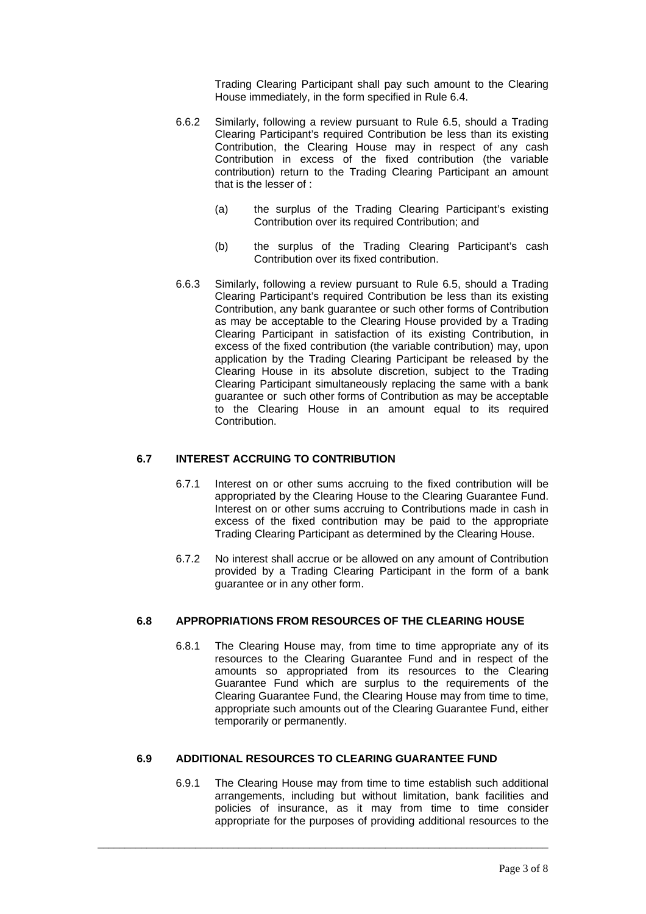Trading Clearing Participant shall pay such amount to the Clearing House immediately, in the form specified in Rule 6.4.

- 6.6.2 Similarly, following a review pursuant to Rule 6.5, should a Trading Clearing Participant's required Contribution be less than its existing Contribution, the Clearing House may in respect of any cash Contribution in excess of the fixed contribution (the variable contribution) return to the Trading Clearing Participant an amount that is the lesser of :
	- (a) the surplus of the Trading Clearing Participant's existing Contribution over its required Contribution; and
	- (b) the surplus of the Trading Clearing Participant's cash Contribution over its fixed contribution.
- 6.6.3 Similarly, following a review pursuant to Rule 6.5, should a Trading Clearing Participant's required Contribution be less than its existing Contribution, any bank guarantee or such other forms of Contribution as may be acceptable to the Clearing House provided by a Trading Clearing Participant in satisfaction of its existing Contribution, in excess of the fixed contribution (the variable contribution) may, upon application by the Trading Clearing Participant be released by the Clearing House in its absolute discretion, subject to the Trading Clearing Participant simultaneously replacing the same with a bank guarantee or such other forms of Contribution as may be acceptable to the Clearing House in an amount equal to its required Contribution.

# **6.7 INTEREST ACCRUING TO CONTRIBUTION**

- 6.7.1 Interest on or other sums accruing to the fixed contribution will be appropriated by the Clearing House to the Clearing Guarantee Fund. Interest on or other sums accruing to Contributions made in cash in excess of the fixed contribution may be paid to the appropriate Trading Clearing Participant as determined by the Clearing House.
- 6.7.2 No interest shall accrue or be allowed on any amount of Contribution provided by a Trading Clearing Participant in the form of a bank guarantee or in any other form.

#### **6.8 APPROPRIATIONS FROM RESOURCES OF THE CLEARING HOUSE**

6.8.1 The Clearing House may, from time to time appropriate any of its resources to the Clearing Guarantee Fund and in respect of the amounts so appropriated from its resources to the Clearing Guarantee Fund which are surplus to the requirements of the Clearing Guarantee Fund, the Clearing House may from time to time, appropriate such amounts out of the Clearing Guarantee Fund, either temporarily or permanently.

# **6.9 ADDITIONAL RESOURCES TO CLEARING GUARANTEE FUND**

\_\_\_\_\_\_\_\_\_\_\_\_\_\_\_\_\_\_\_\_\_\_\_\_\_\_\_\_\_\_\_\_\_\_\_\_\_\_\_\_\_\_\_\_\_\_\_\_\_\_\_\_\_\_\_\_\_\_\_\_\_\_\_\_\_\_\_\_\_\_\_\_\_\_\_\_\_\_\_\_\_\_\_

6.9.1 The Clearing House may from time to time establish such additional arrangements, including but without limitation, bank facilities and policies of insurance, as it may from time to time consider appropriate for the purposes of providing additional resources to the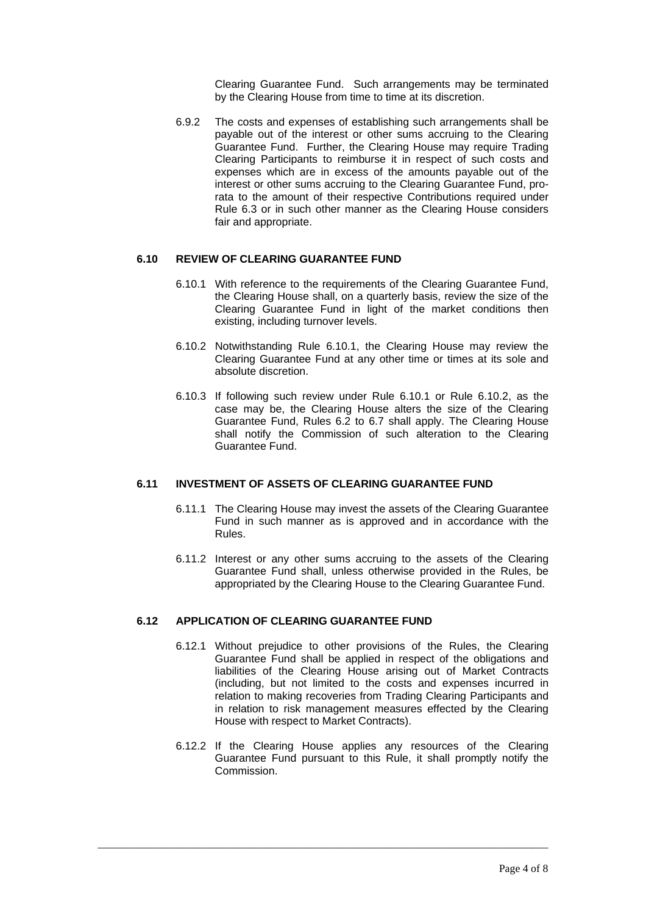Clearing Guarantee Fund. Such arrangements may be terminated by the Clearing House from time to time at its discretion.

6.9.2 The costs and expenses of establishing such arrangements shall be payable out of the interest or other sums accruing to the Clearing Guarantee Fund. Further, the Clearing House may require Trading Clearing Participants to reimburse it in respect of such costs and expenses which are in excess of the amounts payable out of the interest or other sums accruing to the Clearing Guarantee Fund, prorata to the amount of their respective Contributions required under Rule 6.3 or in such other manner as the Clearing House considers fair and appropriate.

# **6.10 REVIEW OF CLEARING GUARANTEE FUND**

- 6.10.1 With reference to the requirements of the Clearing Guarantee Fund, the Clearing House shall, on a quarterly basis, review the size of the Clearing Guarantee Fund in light of the market conditions then existing, including turnover levels.
- 6.10.2 Notwithstanding Rule 6.10.1, the Clearing House may review the Clearing Guarantee Fund at any other time or times at its sole and absolute discretion.
- 6.10.3 If following such review under Rule 6.10.1 or Rule 6.10.2, as the case may be, the Clearing House alters the size of the Clearing Guarantee Fund, Rules 6.2 to 6.7 shall apply. The Clearing House shall notify the Commission of such alteration to the Clearing Guarantee Fund.

# **6.11 INVESTMENT OF ASSETS OF CLEARING GUARANTEE FUND**

- 6.11.1 The Clearing House may invest the assets of the Clearing Guarantee Fund in such manner as is approved and in accordance with the Rules.
- 6.11.2 Interest or any other sums accruing to the assets of the Clearing Guarantee Fund shall, unless otherwise provided in the Rules, be appropriated by the Clearing House to the Clearing Guarantee Fund.

#### **6.12 APPLICATION OF CLEARING GUARANTEE FUND**

- 6.12.1 Without prejudice to other provisions of the Rules, the Clearing Guarantee Fund shall be applied in respect of the obligations and liabilities of the Clearing House arising out of Market Contracts (including, but not limited to the costs and expenses incurred in relation to making recoveries from Trading Clearing Participants and in relation to risk management measures effected by the Clearing House with respect to Market Contracts).
- 6.12.2 If the Clearing House applies any resources of the Clearing Guarantee Fund pursuant to this Rule, it shall promptly notify the Commission.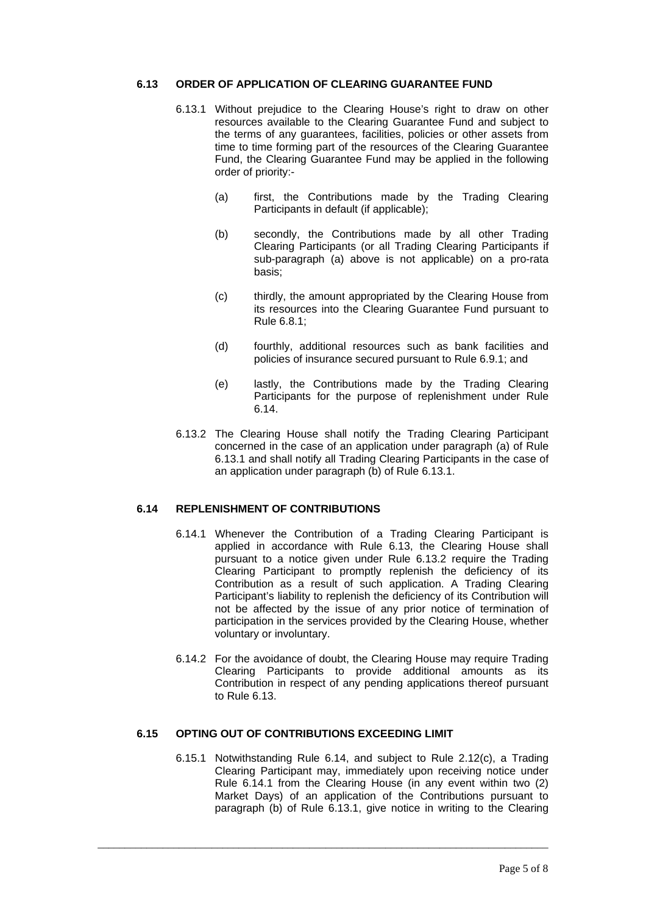### **6.13 ORDER OF APPLICATION OF CLEARING GUARANTEE FUND**

- 6.13.1 Without prejudice to the Clearing House's right to draw on other resources available to the Clearing Guarantee Fund and subject to the terms of any guarantees, facilities, policies or other assets from time to time forming part of the resources of the Clearing Guarantee Fund, the Clearing Guarantee Fund may be applied in the following order of priority:-
	- (a) first, the Contributions made by the Trading Clearing Participants in default (if applicable);
	- (b) secondly, the Contributions made by all other Trading Clearing Participants (or all Trading Clearing Participants if sub-paragraph (a) above is not applicable) on a pro-rata basis;
	- (c) thirdly, the amount appropriated by the Clearing House from its resources into the Clearing Guarantee Fund pursuant to Rule 6.8.1;
	- (d) fourthly, additional resources such as bank facilities and policies of insurance secured pursuant to Rule 6.9.1; and
	- (e) lastly, the Contributions made by the Trading Clearing Participants for the purpose of replenishment under Rule 6.14.
- 6.13.2 The Clearing House shall notify the Trading Clearing Participant concerned in the case of an application under paragraph (a) of Rule 6.13.1 and shall notify all Trading Clearing Participants in the case of an application under paragraph (b) of Rule 6.13.1.

#### **6.14 REPLENISHMENT OF CONTRIBUTIONS**

- 6.14.1 Whenever the Contribution of a Trading Clearing Participant is applied in accordance with Rule 6.13, the Clearing House shall pursuant to a notice given under Rule 6.13.2 require the Trading Clearing Participant to promptly replenish the deficiency of its Contribution as a result of such application. A Trading Clearing Participant's liability to replenish the deficiency of its Contribution will not be affected by the issue of any prior notice of termination of participation in the services provided by the Clearing House, whether voluntary or involuntary.
- 6.14.2 For the avoidance of doubt, the Clearing House may require Trading Clearing Participants to provide additional amounts as its Contribution in respect of any pending applications thereof pursuant to Rule 6.13.

# **6.15 OPTING OUT OF CONTRIBUTIONS EXCEEDING LIMIT**

\_\_\_\_\_\_\_\_\_\_\_\_\_\_\_\_\_\_\_\_\_\_\_\_\_\_\_\_\_\_\_\_\_\_\_\_\_\_\_\_\_\_\_\_\_\_\_\_\_\_\_\_\_\_\_\_\_\_\_\_\_\_\_\_\_\_\_\_\_\_\_\_\_\_\_\_\_\_\_\_\_\_\_

6.15.1 Notwithstanding Rule 6.14, and subject to Rule 2.12(c), a Trading Clearing Participant may, immediately upon receiving notice under Rule 6.14.1 from the Clearing House (in any event within two (2) Market Days) of an application of the Contributions pursuant to paragraph (b) of Rule 6.13.1, give notice in writing to the Clearing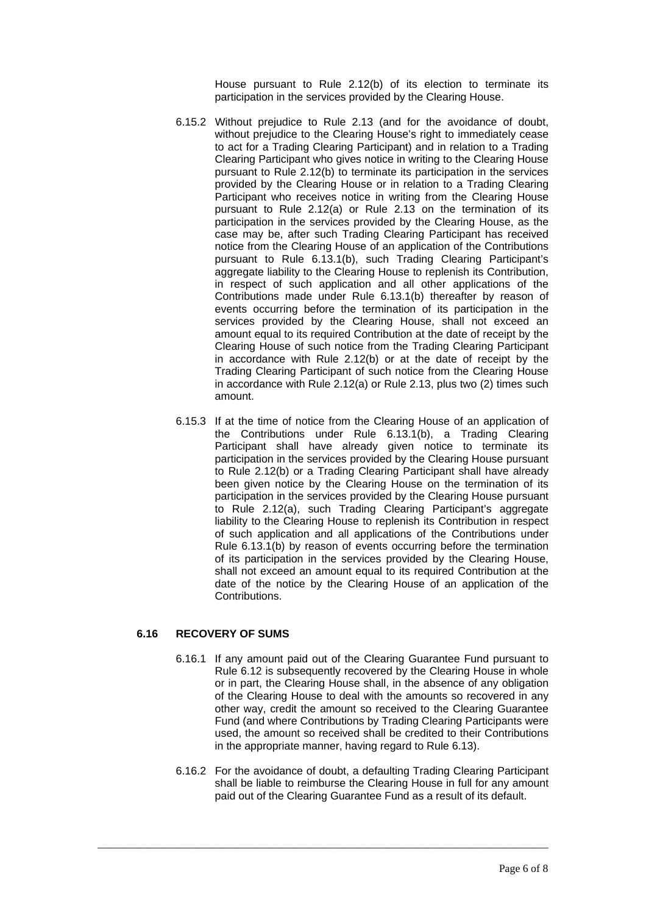House pursuant to Rule 2.12(b) of its election to terminate its participation in the services provided by the Clearing House.

- 6.15.2 Without prejudice to Rule 2.13 (and for the avoidance of doubt, without prejudice to the Clearing House's right to immediately cease to act for a Trading Clearing Participant) and in relation to a Trading Clearing Participant who gives notice in writing to the Clearing House pursuant to Rule 2.12(b) to terminate its participation in the services provided by the Clearing House or in relation to a Trading Clearing Participant who receives notice in writing from the Clearing House pursuant to Rule 2.12(a) or Rule 2.13 on the termination of its participation in the services provided by the Clearing House, as the case may be, after such Trading Clearing Participant has received notice from the Clearing House of an application of the Contributions pursuant to Rule 6.13.1(b), such Trading Clearing Participant's aggregate liability to the Clearing House to replenish its Contribution, in respect of such application and all other applications of the Contributions made under Rule 6.13.1(b) thereafter by reason of events occurring before the termination of its participation in the services provided by the Clearing House, shall not exceed an amount equal to its required Contribution at the date of receipt by the Clearing House of such notice from the Trading Clearing Participant in accordance with Rule 2.12(b) or at the date of receipt by the Trading Clearing Participant of such notice from the Clearing House in accordance with Rule 2.12(a) or Rule 2.13, plus two (2) times such amount.
- 6.15.3 If at the time of notice from the Clearing House of an application of the Contributions under Rule 6.13.1(b), a Trading Clearing Participant shall have already given notice to terminate its participation in the services provided by the Clearing House pursuant to Rule 2.12(b) or a Trading Clearing Participant shall have already been given notice by the Clearing House on the termination of its participation in the services provided by the Clearing House pursuant to Rule 2.12(a), such Trading Clearing Participant's aggregate liability to the Clearing House to replenish its Contribution in respect of such application and all applications of the Contributions under Rule 6.13.1(b) by reason of events occurring before the termination of its participation in the services provided by the Clearing House, shall not exceed an amount equal to its required Contribution at the date of the notice by the Clearing House of an application of the Contributions.

# **6.16 RECOVERY OF SUMS**

- 6.16.1 If any amount paid out of the Clearing Guarantee Fund pursuant to Rule 6.12 is subsequently recovered by the Clearing House in whole or in part, the Clearing House shall, in the absence of any obligation of the Clearing House to deal with the amounts so recovered in any other way, credit the amount so received to the Clearing Guarantee Fund (and where Contributions by Trading Clearing Participants were used, the amount so received shall be credited to their Contributions in the appropriate manner, having regard to Rule 6.13).
- 6.16.2 For the avoidance of doubt, a defaulting Trading Clearing Participant shall be liable to reimburse the Clearing House in full for any amount paid out of the Clearing Guarantee Fund as a result of its default.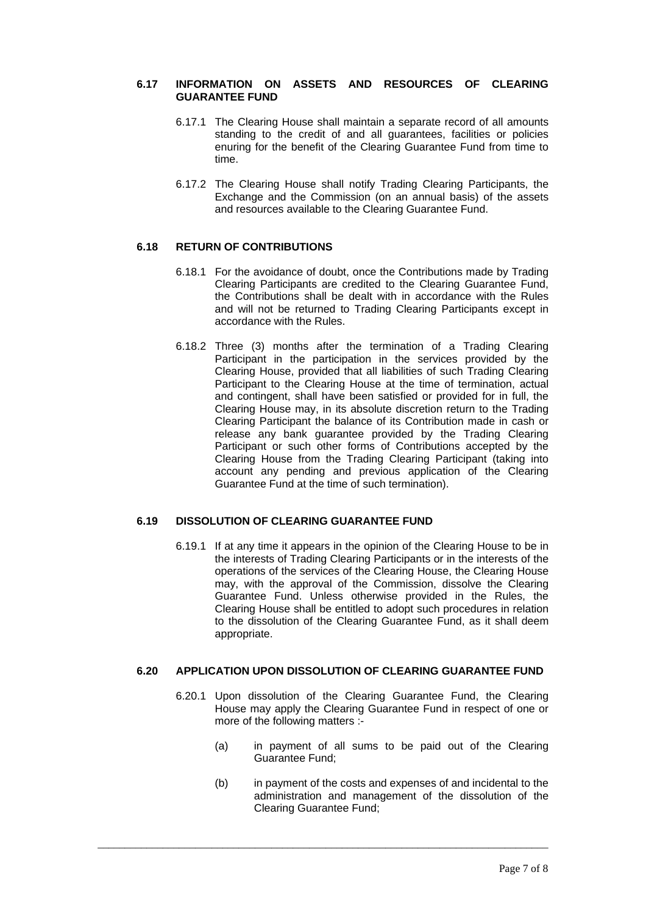### **6.17 INFORMATION ON ASSETS AND RESOURCES OF CLEARING GUARANTEE FUND**

- 6.17.1 The Clearing House shall maintain a separate record of all amounts standing to the credit of and all guarantees, facilities or policies enuring for the benefit of the Clearing Guarantee Fund from time to time.
- 6.17.2 The Clearing House shall notify Trading Clearing Participants, the Exchange and the Commission (on an annual basis) of the assets and resources available to the Clearing Guarantee Fund.

# **6.18 RETURN OF CONTRIBUTIONS**

- 6.18.1 For the avoidance of doubt, once the Contributions made by Trading Clearing Participants are credited to the Clearing Guarantee Fund, the Contributions shall be dealt with in accordance with the Rules and will not be returned to Trading Clearing Participants except in accordance with the Rules.
- 6.18.2 Three (3) months after the termination of a Trading Clearing Participant in the participation in the services provided by the Clearing House, provided that all liabilities of such Trading Clearing Participant to the Clearing House at the time of termination, actual and contingent, shall have been satisfied or provided for in full, the Clearing House may, in its absolute discretion return to the Trading Clearing Participant the balance of its Contribution made in cash or release any bank guarantee provided by the Trading Clearing Participant or such other forms of Contributions accepted by the Clearing House from the Trading Clearing Participant (taking into account any pending and previous application of the Clearing Guarantee Fund at the time of such termination).

# **6.19 DISSOLUTION OF CLEARING GUARANTEE FUND**

6.19.1 If at any time it appears in the opinion of the Clearing House to be in the interests of Trading Clearing Participants or in the interests of the operations of the services of the Clearing House, the Clearing House may, with the approval of the Commission, dissolve the Clearing Guarantee Fund. Unless otherwise provided in the Rules, the Clearing House shall be entitled to adopt such procedures in relation to the dissolution of the Clearing Guarantee Fund, as it shall deem appropriate.

# **6.20 APPLICATION UPON DISSOLUTION OF CLEARING GUARANTEE FUND**

- 6.20.1 Upon dissolution of the Clearing Guarantee Fund, the Clearing House may apply the Clearing Guarantee Fund in respect of one or more of the following matters :-
	- (a) in payment of all sums to be paid out of the Clearing Guarantee Fund;
	- (b) in payment of the costs and expenses of and incidental to the administration and management of the dissolution of the Clearing Guarantee Fund;